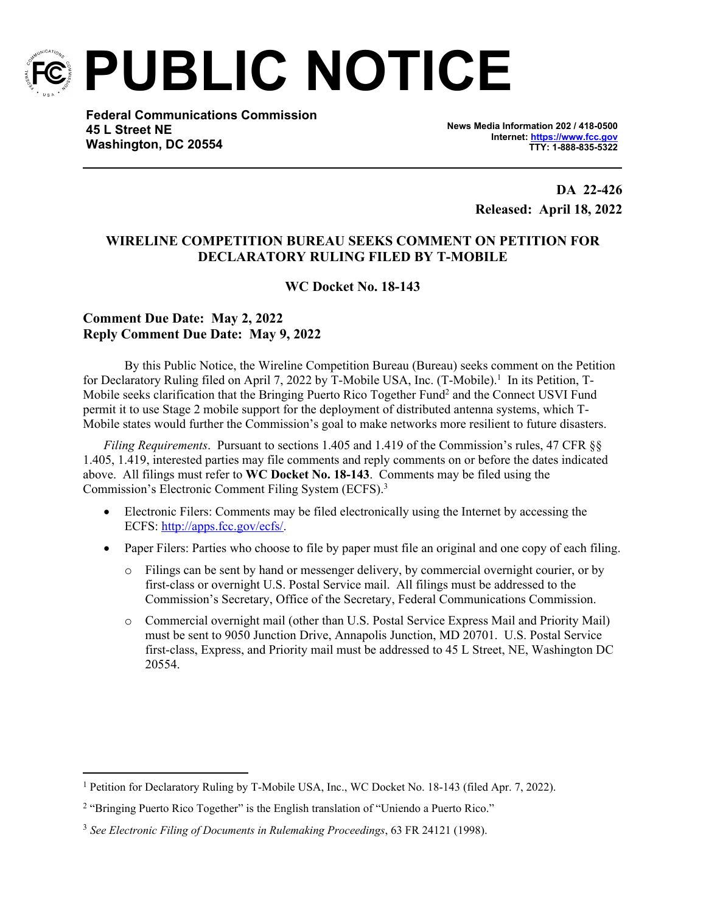

**PUBLIC NOTICE**

**Federal Communications Commission 45 L Street NE Washington, DC 20554**

**News Media Information 202 / 418-0500 Internet:<https://www.fcc.gov> TTY: 1-888-835-5322**

> **DA 22-426 Released: April 18, 2022**

## **WIRELINE COMPETITION BUREAU SEEKS COMMENT ON PETITION FOR DECLARATORY RULING FILED BY T-MOBILE**

**WC Docket No. 18-143**

## **Comment Due Date: May 2, 2022 Reply Comment Due Date: May 9, 2022**

By this Public Notice, the Wireline Competition Bureau (Bureau) seeks comment on the Petition for Declaratory Ruling filed on April 7, 2022 by T-Mobile USA, Inc. (T-Mobile).<sup>1</sup> In its Petition, T-Mobile seeks clarification that the Bringing Puerto Rico Together Fund<sup>2</sup> and the Connect USVI Fund permit it to use Stage 2 mobile support for the deployment of distributed antenna systems, which T-Mobile states would further the Commission's goal to make networks more resilient to future disasters.

*Filing Requirements*. Pursuant to sections 1.405 and 1.419 of the Commission's rules, 47 CFR §§ 1.405, 1.419, interested parties may file comments and reply comments on or before the dates indicated above. All filings must refer to **WC Docket No. 18-143**. Comments may be filed using the Commission's Electronic Comment Filing System (ECFS).<sup>3</sup>

- Electronic Filers: Comments may be filed electronically using the Internet by accessing the ECFS: [http://apps.fcc.gov/ecfs/.](http://apps.fcc.gov/ecfs/)
- Paper Filers: Parties who choose to file by paper must file an original and one copy of each filing.
	- o Filings can be sent by hand or messenger delivery, by commercial overnight courier, or by first-class or overnight U.S. Postal Service mail. All filings must be addressed to the Commission's Secretary, Office of the Secretary, Federal Communications Commission.
	- o Commercial overnight mail (other than U.S. Postal Service Express Mail and Priority Mail) must be sent to 9050 Junction Drive, Annapolis Junction, MD 20701. U.S. Postal Service first-class, Express, and Priority mail must be addressed to 45 L Street, NE, Washington DC 20554.

<sup>&</sup>lt;sup>1</sup> Petition for Declaratory Ruling by T-Mobile USA, Inc., WC Docket No. 18-143 (filed Apr. 7, 2022).

<sup>&</sup>lt;sup>2</sup> "Bringing Puerto Rico Together" is the English translation of "Uniendo a Puerto Rico."

<sup>3</sup> *See Electronic Filing of Documents in Rulemaking Proceedings*, 63 FR 24121 (1998).